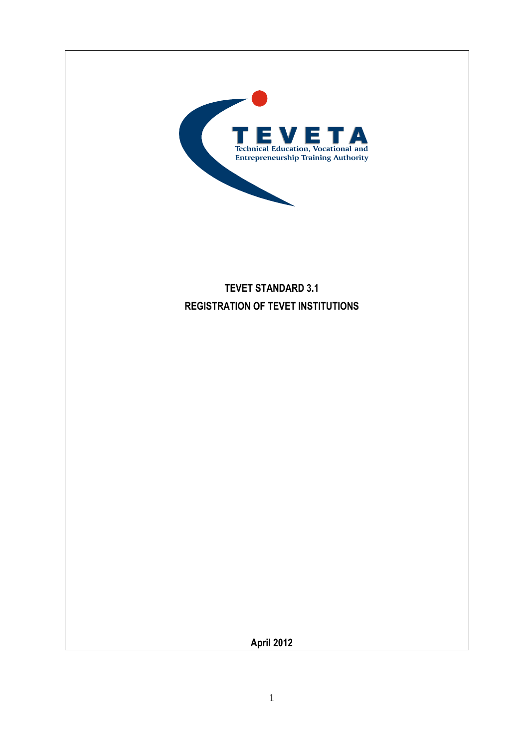

# **TEVET STANDARD 3.1 REGISTRATION OF TEVET INSTITUTIONS**

**April 2012**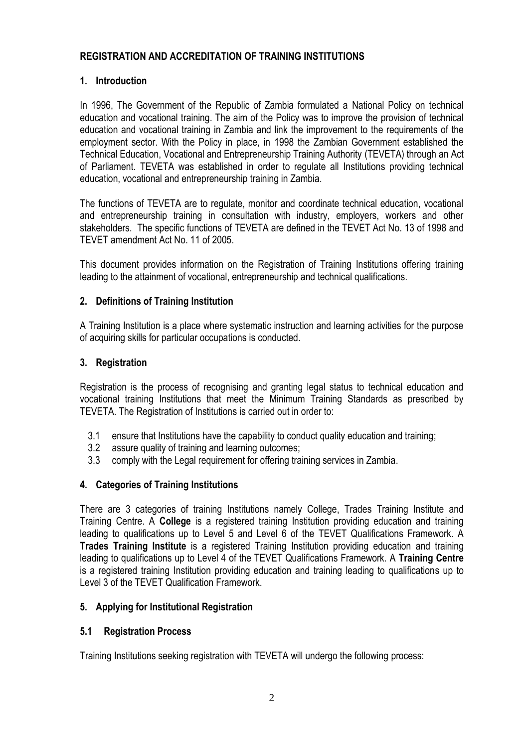# **REGISTRATION AND ACCREDITATION OF TRAINING INSTITUTIONS**

# **1. Introduction**

In 1996, The Government of the Republic of Zambia formulated a National Policy on technical education and vocational training. The aim of the Policy was to improve the provision of technical education and vocational training in Zambia and link the improvement to the requirements of the employment sector. With the Policy in place, in 1998 the Zambian Government established the Technical Education, Vocational and Entrepreneurship Training Authority (TEVETA) through an Act of Parliament. TEVETA was established in order to regulate all Institutions providing technical education, vocational and entrepreneurship training in Zambia.

The functions of TEVETA are to regulate, monitor and coordinate technical education, vocational and entrepreneurship training in consultation with industry, employers, workers and other stakeholders. The specific functions of TEVETA are defined in the TEVET Act No. 13 of 1998 and TEVET amendment Act No. 11 of 2005.

This document provides information on the Registration of Training Institutions offering training leading to the attainment of vocational, entrepreneurship and technical qualifications.

# **2. Definitions of Training Institution**

A Training Institution is a place where systematic instruction and learning activities for the purpose of acquiring skills for particular occupations is conducted.

### **3. Registration**

Registration is the process of recognising and granting legal status to technical education and vocational training Institutions that meet the Minimum Training Standards as prescribed by TEVETA. The Registration of Institutions is carried out in order to:

- 3.1 ensure that Institutions have the capability to conduct quality education and training;
- 3.2 assure quality of training and learning outcomes;
- 3.3 comply with the Legal requirement for offering training services in Zambia.

# **4. Categories of Training Institutions**

There are 3 categories of training Institutions namely College, Trades Training Institute and Training Centre. A **College** is a registered training Institution providing education and training leading to qualifications up to Level 5 and Level 6 of the TEVET Qualifications Framework. A **Trades Training Institute** is a registered Training Institution providing education and training leading to qualifications up to Level 4 of the TEVET Qualifications Framework. A **Training Centre** is a registered training Institution providing education and training leading to qualifications up to Level 3 of the TEVET Qualification Framework.

### **5. Applying for Institutional Registration**

### **5.1 Registration Process**

Training Institutions seeking registration with TEVETA will undergo the following process: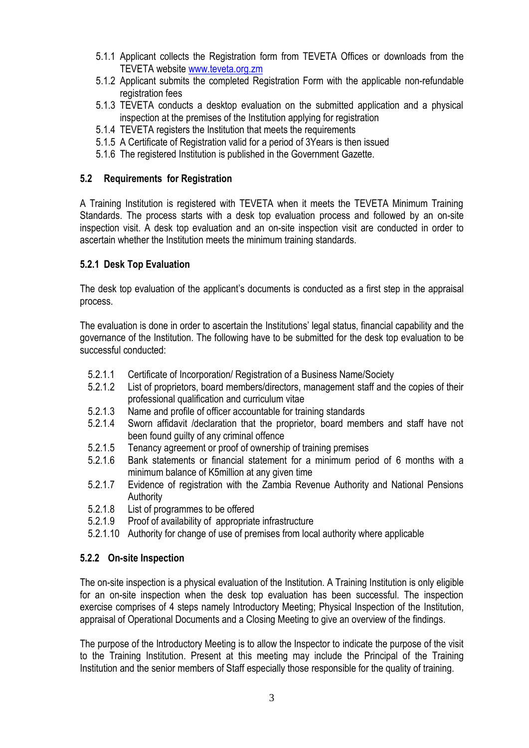- 5.1.1 Applicant collects the Registration form from TEVETA Offices or downloads from the TEVETA website [www.teveta.org.zm](http://www.teveta.org.zm/)
- 5.1.2 Applicant submits the completed Registration Form with the applicable non-refundable registration fees
- 5.1.3 TEVETA conducts a desktop evaluation on the submitted application and a physical inspection at the premises of the Institution applying for registration
- 5.1.4 TEVETA registers the Institution that meets the requirements
- 5.1.5 A Certificate of Registration valid for a period of 3Years is then issued
- 5.1.6 The registered Institution is published in the Government Gazette.

# **5.2 Requirements for Registration**

A Training Institution is registered with TEVETA when it meets the TEVETA Minimum Training Standards. The process starts with a desk top evaluation process and followed by an on-site inspection visit. A desk top evaluation and an on-site inspection visit are conducted in order to ascertain whether the Institution meets the minimum training standards.

# **5.2.1 Desk Top Evaluation**

The desk top evaluation of the applicant's documents is conducted as a first step in the appraisal process.

The evaluation is done in order to ascertain the Institutions' legal status, financial capability and the governance of the Institution. The following have to be submitted for the desk top evaluation to be successful conducted:

- 5.2.1.1 Certificate of Incorporation/ Registration of a Business Name/Society
- 5.2.1.2 List of proprietors, board members/directors, management staff and the copies of their professional qualification and curriculum vitae
- 5.2.1.3 Name and profile of officer accountable for training standards<br>5.2.1.4 Sworn affidavit /declaration that the proprietor, board mem
- Sworn affidavit /declaration that the proprietor, board members and staff have not been found guilty of any criminal offence
- 5.2.1.5 Tenancy agreement or proof of ownership of training premises
- 5.2.1.6 Bank statements or financial statement for a minimum period of 6 months with a minimum balance of K5million at any given time
- 5.2.1.7 Evidence of registration with the Zambia Revenue Authority and National Pensions Authority
- 5.2.1.8 List of programmes to be offered
- 5.2.1.9 Proof of availability of appropriate infrastructure
- 5.2.1.10 Authority for change of use of premises from local authority where applicable

### **5.2.2 On-site Inspection**

The on-site inspection is a physical evaluation of the Institution. A Training Institution is only eligible for an on-site inspection when the desk top evaluation has been successful. The inspection exercise comprises of 4 steps namely Introductory Meeting; Physical Inspection of the Institution, appraisal of Operational Documents and a Closing Meeting to give an overview of the findings.

The purpose of the Introductory Meeting is to allow the Inspector to indicate the purpose of the visit to the Training Institution. Present at this meeting may include the Principal of the Training Institution and the senior members of Staff especially those responsible for the quality of training.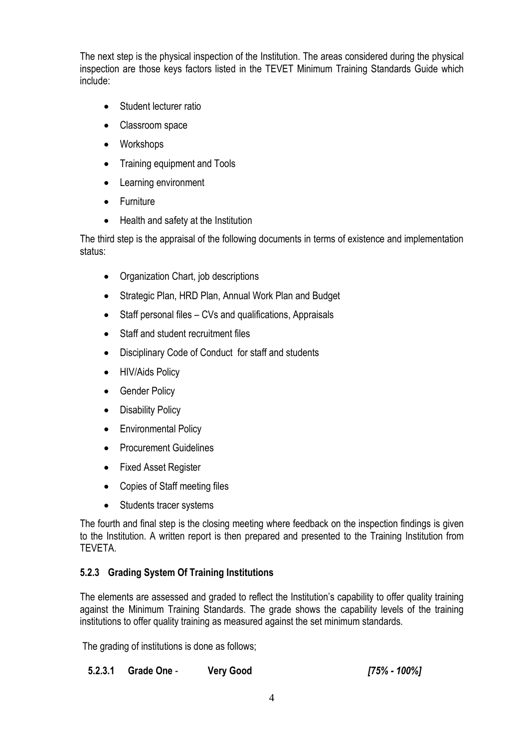The next step is the physical inspection of the Institution. The areas considered during the physical inspection are those keys factors listed in the TEVET Minimum Training Standards Guide which include:

- Student lecturer ratio
- Classroom space
- Workshops
- Training equipment and Tools
- Learning environment
- Furniture
- Health and safety at the Institution

The third step is the appraisal of the following documents in terms of existence and implementation status:

- Organization Chart, job descriptions
- Strategic Plan, HRD Plan, Annual Work Plan and Budget
- Staff personal files CVs and qualifications, Appraisals
- Staff and student recruitment files
- Disciplinary Code of Conduct for staff and students
- HIV/Aids Policy
- Gender Policy
- Disability Policy
- Environmental Policy
- Procurement Guidelines
- Fixed Asset Register
- Copies of Staff meeting files
- Students tracer systems

The fourth and final step is the closing meeting where feedback on the inspection findings is given to the Institution. A written report is then prepared and presented to the Training Institution from TEVETA.

# **5.2.3 Grading System Of Training Institutions**

The elements are assessed and graded to reflect the Institution's capability to offer quality training against the Minimum Training Standards. The grade shows the capability levels of the training institutions to offer quality training as measured against the set minimum standards.

The grading of institutions is done as follows;

**5.2.3.1 Grade One** - **Very Good** *[75% - 100%]*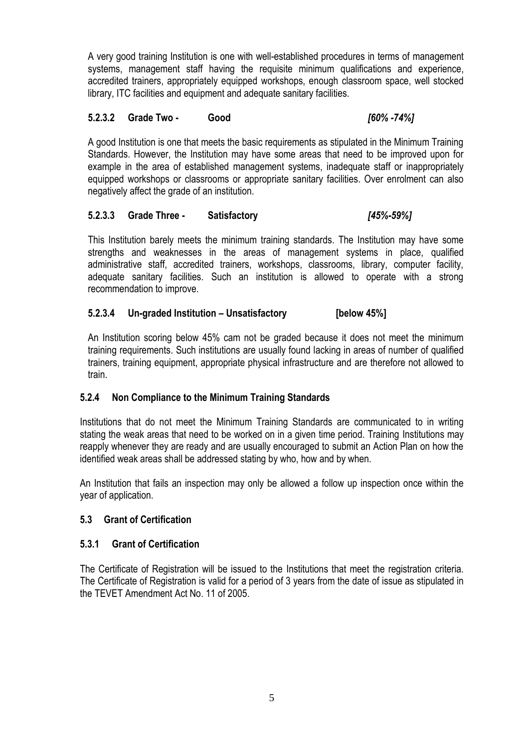A very good training Institution is one with well-established procedures in terms of management systems, management staff having the requisite minimum qualifications and experience, accredited trainers, appropriately equipped workshops, enough classroom space, well stocked library, ITC facilities and equipment and adequate sanitary facilities.

# **5.2.3.2 Grade Two - Good** *[60% -74%]*

A good Institution is one that meets the basic requirements as stipulated in the Minimum Training Standards. However, the Institution may have some areas that need to be improved upon for example in the area of established management systems, inadequate staff or inappropriately equipped workshops or classrooms or appropriate sanitary facilities. Over enrolment can also negatively affect the grade of an institution.

### **5.2.3.3 Grade Three - Satisfactory** *[45%-59%]*

This Institution barely meets the minimum training standards. The Institution may have some strengths and weaknesses in the areas of management systems in place, qualified administrative staff, accredited trainers, workshops, classrooms, library, computer facility, adequate sanitary facilities. Such an institution is allowed to operate with a strong recommendation to improve.

# **5.2.3.4 Un-graded Institution – Unsatisfactory [below 45%]**

An Institution scoring below 45% cam not be graded because it does not meet the minimum training requirements. Such institutions are usually found lacking in areas of number of qualified trainers, training equipment, appropriate physical infrastructure and are therefore not allowed to train.

### **5.2.4 Non Compliance to the Minimum Training Standards**

Institutions that do not meet the Minimum Training Standards are communicated to in writing stating the weak areas that need to be worked on in a given time period. Training Institutions may reapply whenever they are ready and are usually encouraged to submit an Action Plan on how the identified weak areas shall be addressed stating by who, how and by when.

An Institution that fails an inspection may only be allowed a follow up inspection once within the year of application.

### **5.3 Grant of Certification**

### **5.3.1 Grant of Certification**

The Certificate of Registration will be issued to the Institutions that meet the registration criteria. The Certificate of Registration is valid for a period of 3 years from the date of issue as stipulated in the TEVET Amendment Act No. 11 of 2005.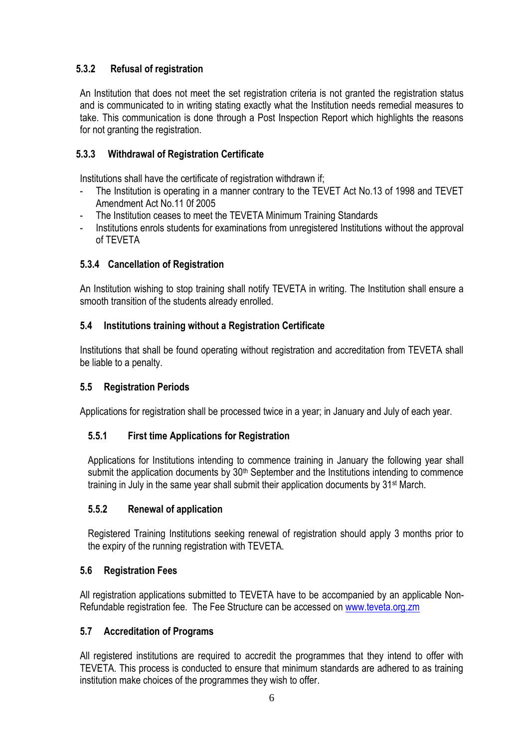# **5.3.2 Refusal of registration**

An Institution that does not meet the set registration criteria is not granted the registration status and is communicated to in writing stating exactly what the Institution needs remedial measures to take. This communication is done through a Post Inspection Report which highlights the reasons for not granting the registration.

# **5.3.3 Withdrawal of Registration Certificate**

Institutions shall have the certificate of registration withdrawn if;

- The Institution is operating in a manner contrary to the TEVET Act No.13 of 1998 and TEVET Amendment Act No.11 0f 2005
- The Institution ceases to meet the TEVETA Minimum Training Standards
- Institutions enrols students for examinations from unregistered Institutions without the approval of TEVETA

# **5.3.4 Cancellation of Registration**

An Institution wishing to stop training shall notify TEVETA in writing. The Institution shall ensure a smooth transition of the students already enrolled.

# **5.4 Institutions training without a Registration Certificate**

Institutions that shall be found operating without registration and accreditation from TEVETA shall be liable to a penalty.

### **5.5 Registration Periods**

Applications for registration shall be processed twice in a year; in January and July of each year.

### **5.5.1 First time Applications for Registration**

Applications for Institutions intending to commence training in January the following year shall submit the application documents by 30<sup>th</sup> September and the Institutions intending to commence training in July in the same year shall submit their application documents by 31<sup>st</sup> March.

### **5.5.2 Renewal of application**

Registered Training Institutions seeking renewal of registration should apply 3 months prior to the expiry of the running registration with TEVETA.

### **5.6 Registration Fees**

All registration applications submitted to TEVETA have to be accompanied by an applicable Non-Refundable registration fee. The Fee Structure can be accessed o[n www.teveta.org.zm](http://www.teveta.org.zm/)

### **5.7 Accreditation of Programs**

All registered institutions are required to accredit the programmes that they intend to offer with TEVETA. This process is conducted to ensure that minimum standards are adhered to as training institution make choices of the programmes they wish to offer.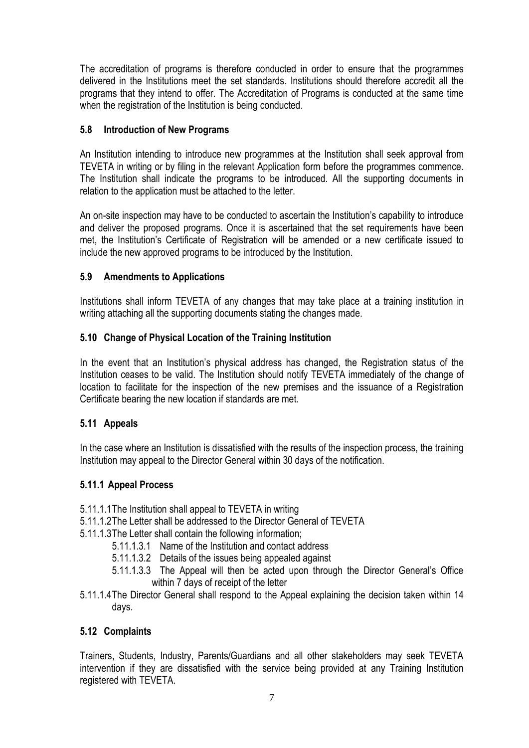The accreditation of programs is therefore conducted in order to ensure that the programmes delivered in the Institutions meet the set standards. Institutions should therefore accredit all the programs that they intend to offer. The Accreditation of Programs is conducted at the same time when the registration of the Institution is being conducted.

# **5.8 Introduction of New Programs**

An Institution intending to introduce new programmes at the Institution shall seek approval from TEVETA in writing or by filing in the relevant Application form before the programmes commence. The Institution shall indicate the programs to be introduced. All the supporting documents in relation to the application must be attached to the letter.

An on-site inspection may have to be conducted to ascertain the Institution's capability to introduce and deliver the proposed programs. Once it is ascertained that the set requirements have been met, the Institution's Certificate of Registration will be amended or a new certificate issued to include the new approved programs to be introduced by the Institution.

# **5.9 Amendments to Applications**

Institutions shall inform TEVETA of any changes that may take place at a training institution in writing attaching all the supporting documents stating the changes made.

# **5.10 Change of Physical Location of the Training Institution**

In the event that an Institution's physical address has changed, the Registration status of the Institution ceases to be valid. The Institution should notify TEVETA immediately of the change of location to facilitate for the inspection of the new premises and the issuance of a Registration Certificate bearing the new location if standards are met.

### **5.11 Appeals**

In the case where an Institution is dissatisfied with the results of the inspection process, the training Institution may appeal to the Director General within 30 days of the notification.

### **5.11.1 Appeal Process**

- 5.11.1.1The Institution shall appeal to TEVETA in writing
- 5.11.1.2The Letter shall be addressed to the Director General of TEVETA
- 5.11.1.3The Letter shall contain the following information;
	- 5.11.1.3.1 Name of the Institution and contact address
	- 5.11.1.3.2 Details of the issues being appealed against
	- 5.11.1.3.3 The Appeal will then be acted upon through the Director General's Office within 7 days of receipt of the letter
- 5.11.1.4The Director General shall respond to the Appeal explaining the decision taken within 14 days.

### **5.12 Complaints**

Trainers, Students, Industry, Parents/Guardians and all other stakeholders may seek TEVETA intervention if they are dissatisfied with the service being provided at any Training Institution registered with TEVETA.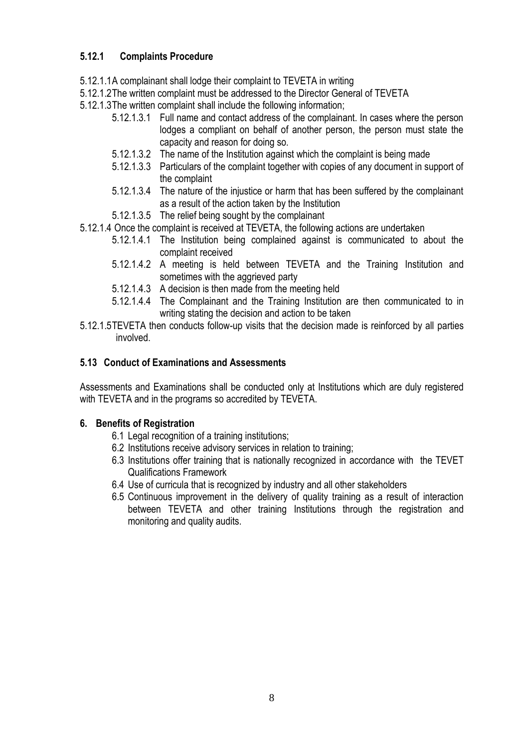# **5.12.1 Complaints Procedure**

- 5.12.1.1A complainant shall lodge their complaint to TEVETA in writing
- 5.12.1.2The written complaint must be addressed to the Director General of TEVETA
- 5.12.1.3The written complaint shall include the following information;
	- 5.12.1.3.1 Full name and contact address of the complainant. In cases where the person lodges a compliant on behalf of another person, the person must state the capacity and reason for doing so.
	- 5.12.1.3.2 The name of the Institution against which the complaint is being made
	- 5.12.1.3.3 Particulars of the complaint together with copies of any document in support of the complaint
	- 5.12.1.3.4 The nature of the injustice or harm that has been suffered by the complainant as a result of the action taken by the Institution
	- 5.12.1.3.5 The relief being sought by the complainant
- 5.12.1.4 Once the complaint is received at TEVETA, the following actions are undertaken
	- 5.12.1.4.1 The Institution being complained against is communicated to about the complaint received
	- 5.12.1.4.2 A meeting is held between TEVETA and the Training Institution and sometimes with the aggrieved party
	- 5.12.1.4.3 A decision is then made from the meeting held
	- 5.12.1.4.4 The Complainant and the Training Institution are then communicated to in writing stating the decision and action to be taken
- 5.12.1.5TEVETA then conducts follow-up visits that the decision made is reinforced by all parties involved.

# **5.13 Conduct of Examinations and Assessments**

Assessments and Examinations shall be conducted only at Institutions which are duly registered with TEVETA and in the programs so accredited by TEVETA.

### **6. Benefits of Registration**

- 6.1 Legal recognition of a training institutions;
- 6.2 Institutions receive advisory services in relation to training;
- 6.3 Institutions offer training that is nationally recognized in accordance with the TEVET Qualifications Framework
- 6.4 Use of curricula that is recognized by industry and all other stakeholders
- 6.5 Continuous improvement in the delivery of quality training as a result of interaction between TEVETA and other training Institutions through the registration and monitoring and quality audits.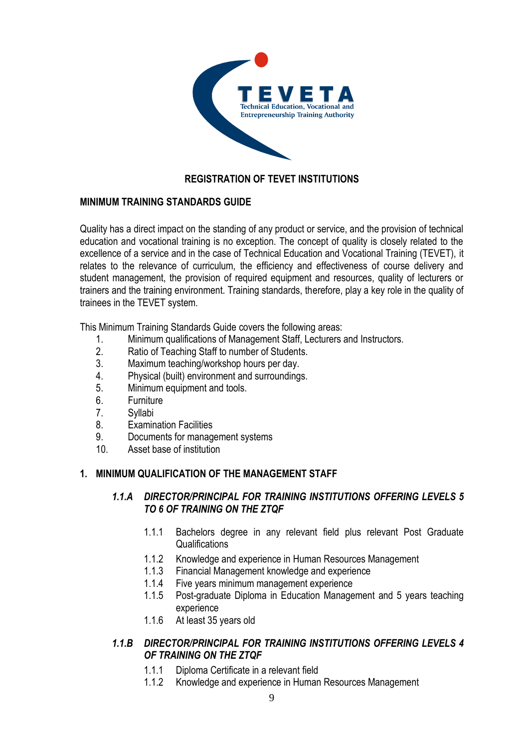

# **REGISTRATION OF TEVET INSTITUTIONS**

### **MINIMUM TRAINING STANDARDS GUIDE**

Quality has a direct impact on the standing of any product or service, and the provision of technical education and vocational training is no exception. The concept of quality is closely related to the excellence of a service and in the case of Technical Education and Vocational Training (TEVET), it relates to the relevance of curriculum, the efficiency and effectiveness of course delivery and student management, the provision of required equipment and resources, quality of lecturers or trainers and the training environment. Training standards, therefore, play a key role in the quality of trainees in the TEVET system.

This Minimum Training Standards Guide covers the following areas:

- 1. Minimum qualifications of Management Staff, Lecturers and Instructors.
- 2. Ratio of Teaching Staff to number of Students.
- 3. Maximum teaching/workshop hours per day.
- 4. Physical (built) environment and surroundings.
- 5. Minimum equipment and tools.
- 6. Furniture
- 7. Syllabi
- 8. Examination Facilities
- 9. Documents for management systems
- 10. Asset base of institution

# **1. MINIMUM QUALIFICATION OF THE MANAGEMENT STAFF**

### *1.1.A DIRECTOR/PRINCIPAL FOR TRAINING INSTITUTIONS OFFERING LEVELS 5 TO 6 OF TRAINING ON THE ZTQF*

- 1.1.1 Bachelors degree in any relevant field plus relevant Post Graduate Qualifications
- 1.1.2 Knowledge and experience in Human Resources Management
- 1.1.3 Financial Management knowledge and experience
- 1.1.4 Five years minimum management experience
- 1.1.5 Post-graduate Diploma in Education Management and 5 years teaching experience
- 1.1.6 At least 35 years old

### *1.1.B DIRECTOR/PRINCIPAL FOR TRAINING INSTITUTIONS OFFERING LEVELS 4 OF TRAINING ON THE ZTQF*

- 1.1.1 Diploma Certificate in a relevant field
- 1.1.2 Knowledge and experience in Human Resources Management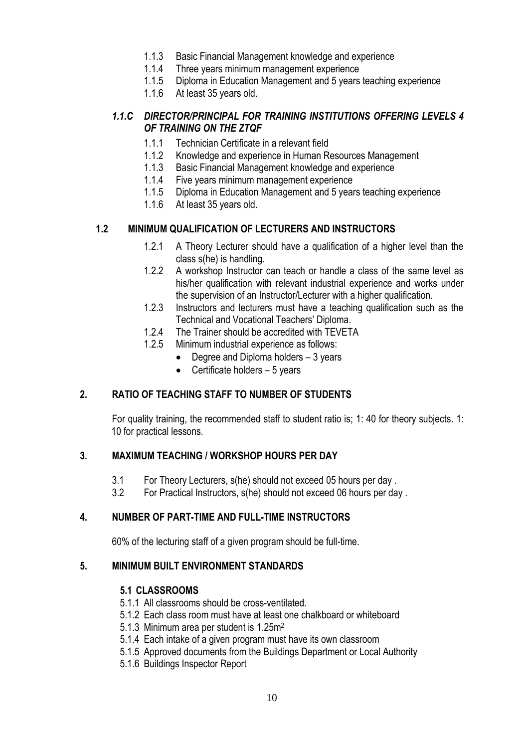- 1.1.3 Basic Financial Management knowledge and experience
- 1.1.4 Three years minimum management experience
- 1.1.5 Diploma in Education Management and 5 years teaching experience
- 1.1.6 At least 35 years old.

### *1.1.C DIRECTOR/PRINCIPAL FOR TRAINING INSTITUTIONS OFFERING LEVELS 4 OF TRAINING ON THE ZTQF*

- 1.1.1 Technician Certificate in a relevant field
- 1.1.2 Knowledge and experience in Human Resources Management
- 1.1.3 Basic Financial Management knowledge and experience
- 1.1.4 Five years minimum management experience
- 1.1.5 Diploma in Education Management and 5 years teaching experience
- 1.1.6 At least 35 years old.

### **1.2 MINIMUM QUALIFICATION OF LECTURERS AND INSTRUCTORS**

- 1.2.1 A Theory Lecturer should have a qualification of a higher level than the class s(he) is handling.
- 1.2.2 A workshop Instructor can teach or handle a class of the same level as his/her qualification with relevant industrial experience and works under the supervision of an Instructor/Lecturer with a higher qualification.
- 1.2.3 Instructors and lecturers must have a teaching qualification such as the Technical and Vocational Teachers' Diploma.
- 1.2.4 The Trainer should be accredited with TEVETA
- 1.2.5 Minimum industrial experience as follows:
	- Degree and Diploma holders 3 years
	- Certificate holders 5 years

### **2. RATIO OF TEACHING STAFF TO NUMBER OF STUDENTS**

For quality training, the recommended staff to student ratio is; 1: 40 for theory subjects. 1: 10 for practical lessons.

### **3. MAXIMUM TEACHING / WORKSHOP HOURS PER DAY**

- 3.1 For Theory Lecturers, s(he) should not exceed 05 hours per day .
- 3.2 For Practical Instructors, s(he) should not exceed 06 hours per day .

### **4. NUMBER OF PART-TIME AND FULL-TIME INSTRUCTORS**

60% of the lecturing staff of a given program should be full-time.

### **5. MINIMUM BUILT ENVIRONMENT STANDARDS**

#### **5.1 CLASSROOMS**

- 5.1.1 All classrooms should be cross-ventilated.
- 5.1.2 Each class room must have at least one chalkboard or whiteboard
- 5.1.3 Minimum area per student is 1.25m<sup>2</sup>
- 5.1.4 Each intake of a given program must have its own classroom
- 5.1.5 Approved documents from the Buildings Department or Local Authority
- 5.1.6 Buildings Inspector Report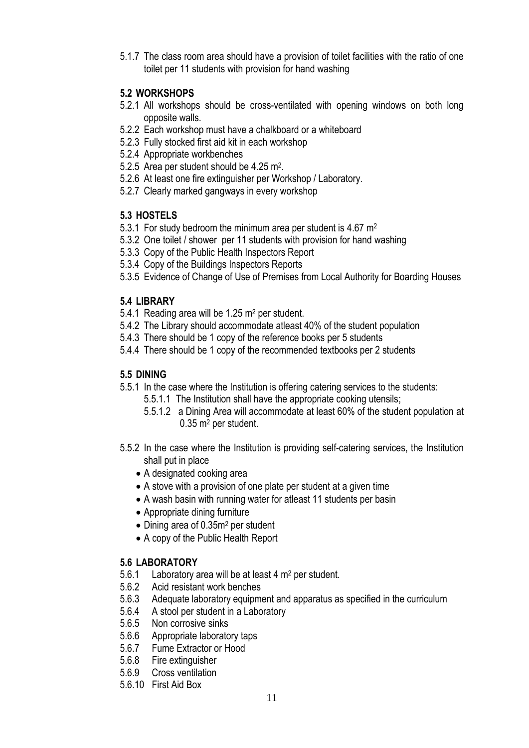5.1.7 The class room area should have a provision of toilet facilities with the ratio of one toilet per 11 students with provision for hand washing

# **5.2 WORKSHOPS**

- 5.2.1 All workshops should be cross-ventilated with opening windows on both long opposite walls.
- 5.2.2 Each workshop must have a chalkboard or a whiteboard
- 5.2.3 Fully stocked first aid kit in each workshop
- 5.2.4 Appropriate workbenches
- 5.2.5 Area per student should be 4.25 m<sup>2</sup>.
- 5.2.6 At least one fire extinguisher per Workshop / Laboratory.
- 5.2.7 Clearly marked gangways in every workshop

# **5.3 HOSTELS**

- 5.3.1 For study bedroom the minimum area per student is 4.67 m<sup>2</sup>
- 5.3.2 One toilet / shower per 11 students with provision for hand washing
- 5.3.3 Copy of the Public Health Inspectors Report
- 5.3.4 Copy of the Buildings Inspectors Reports
- 5.3.5 Evidence of Change of Use of Premises from Local Authority for Boarding Houses

# **5.4 LIBRARY**

- 5.4.1 Reading area will be 1.25 m<sup>2</sup> per student.
- 5.4.2 The Library should accommodate atleast 40% of the student population
- 5.4.3 There should be 1 copy of the reference books per 5 students
- 5.4.4 There should be 1 copy of the recommended textbooks per 2 students

# **5.5 DINING**

- 5.5.1 In the case where the Institution is offering catering services to the students:
	- 5.5.1.1 The Institution shall have the appropriate cooking utensils;
		- 5.5.1.2 a Dining Area will accommodate at least 60% of the student population at 0.35 m<sup>2</sup> per student.
- 5.5.2 In the case where the Institution is providing self-catering services, the Institution shall put in place
	- A designated cooking area
	- A stove with a provision of one plate per student at a given time
	- A wash basin with running water for atleast 11 students per basin
	- Appropriate dining furniture
	- Dining area of 0.35m<sup>2</sup> per student
	- A copy of the Public Health Report

# **5.6 LABORATORY**

- 5.6.1 Laboratory area will be at least 4 m<sup>2</sup> per student.
- 5.6.2 Acid resistant work benches
- 5.6.3 Adequate laboratory equipment and apparatus as specified in the curriculum
- 5.6.4 A stool per student in a Laboratory
- 5.6.5 Non corrosive sinks
- 5.6.6 Appropriate laboratory taps
- 5.6.7 Fume Extractor or Hood
- 5.6.8 Fire extinguisher
- 5.6.9 Cross ventilation
- 5.6.10 First Aid Box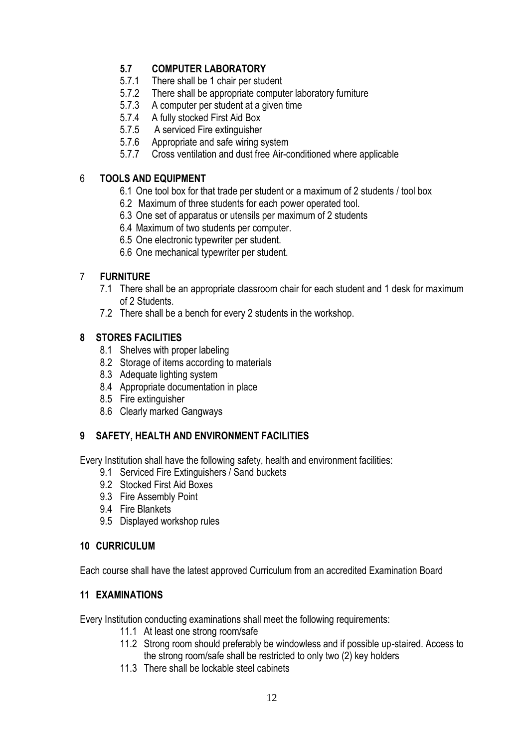# **5.7 COMPUTER LABORATORY**

- 5.7.1 There shall be 1 chair per student
- 5.7.2 There shall be appropriate computer laboratory furniture
- 5.7.3 A computer per student at a given time
- 5.7.4 A fully stocked First Aid Box
- 5.7.5 A serviced Fire extinguisher
- 5.7.6 Appropriate and safe wiring system
- 5.7.7 Cross ventilation and dust free Air-conditioned where applicable

### 6 **TOOLS AND EQUIPMENT**

- 6.1 One tool box for that trade per student or a maximum of 2 students / tool box
- 6.2 Maximum of three students for each power operated tool.
- 6.3 One set of apparatus or utensils per maximum of 2 students
- 6.4 Maximum of two students per computer.
- 6.5 One electronic typewriter per student.
- 6.6 One mechanical typewriter per student.

# 7 **FURNITURE**

- 7.1 There shall be an appropriate classroom chair for each student and 1 desk for maximum of 2 Students.
- 7.2 There shall be a bench for every 2 students in the workshop.

### **8 STORES FACILITIES**

- 8.1 Shelves with proper labeling
- 8.2 Storage of items according to materials
- 8.3 Adequate lighting system
- 8.4 Appropriate documentation in place
- 8.5 Fire extinguisher
- 8.6 Clearly marked Gangways

### **9 SAFETY, HEALTH AND ENVIRONMENT FACILITIES**

Every Institution shall have the following safety, health and environment facilities:

- 9.1 Serviced Fire Extinguishers / Sand buckets
- 9.2 Stocked First Aid Boxes
- 9.3 Fire Assembly Point
- 9.4 Fire Blankets
- 9.5 Displayed workshop rules

#### **10 CURRICULUM**

Each course shall have the latest approved Curriculum from an accredited Examination Board

### **11 EXAMINATIONS**

Every Institution conducting examinations shall meet the following requirements:

- 11.1 At least one strong room/safe
- 11.2 Strong room should preferably be windowless and if possible up-staired. Access to the strong room/safe shall be restricted to only two (2) key holders
- 11.3 There shall be lockable steel cabinets